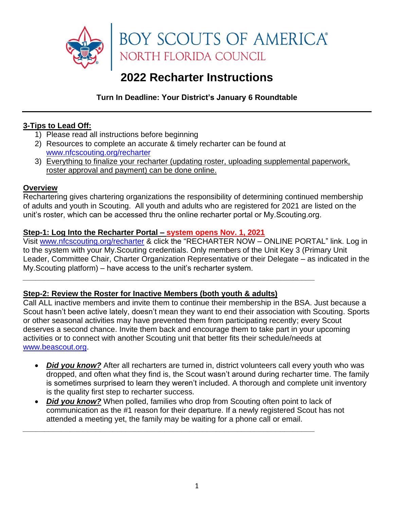

# **2022 Recharter Instructions**

**Turn In Deadline: Your District's January 6 Roundtable**

## **3-Tips to Lead Off:**

- 1) Please read all instructions before beginning
- 2) Resources to complete an accurate & timely recharter can be found at [www.nfcscouting.org/recharter](http://www.nfcscouting.org/recharter)
- 3) Everything to finalize your recharter (updating roster, uploading supplemental paperwork, roster approval and payment) can be done online.

## **Overview**

Rechartering gives chartering organizations the responsibility of determining continued membership of adults and youth in Scouting. All youth and adults who are registered for 2021 are listed on the unit's roster, which can be accessed thru the online recharter portal or My.Scouting.org.

## **Step-1: Log Into the Recharter Portal – system opens Nov. 1, 2021**

Visit [www.nfcscouting.org/recharter](http://www.nfcscouting.org/recharter) & click the ["RECHARTER NOW –](https://scoutnet.scouting.org/ucrs/UI/home/default.aspx) ONLINE PORTAL" link. Log in to the system with your My.Scouting credentials. Only members of the Unit Key 3 (Primary Unit Leader, Committee Chair, Charter Organization Representative or their Delegate – as indicated in the My.Scouting platform) – have access to the unit's recharter system.

## **Step-2: Review the Roster for Inactive Members (both youth & adults)**

*\_\_\_\_\_\_\_\_\_\_\_\_\_\_\_\_\_\_\_\_\_\_\_\_\_\_\_\_\_\_\_\_\_\_\_\_\_\_\_\_\_\_\_\_\_\_\_\_\_\_\_\_\_\_\_\_\_\_\_\_\_\_\_\_\_\_\_\_*

Call ALL inactive members and invite them to continue their membership in the BSA. Just because a Scout hasn't been active lately, doesn't mean they want to end their association with Scouting. Sports or other seasonal activities may have prevented them from participating recently; every Scout deserves a second chance. Invite them back and encourage them to take part in your upcoming activities or to connect with another Scouting unit that better fits their schedule/needs at [www.beascout.org.](http://www.beascout.org/)

- *Did you know?* After all recharters are turned in, district volunteers call every youth who was dropped, and often what they find is, the Scout wasn't around during recharter time. The family is sometimes surprised to learn they weren't included. A thorough and complete unit inventory is the quality first step to recharter success.
- *Did you know?* When polled, families who drop from Scouting often point to lack of communication as the #1 reason for their departure. If a newly registered Scout has not attended a meeting yet, the family may be waiting for a phone call or email.

*\_\_\_\_\_\_\_\_\_\_\_\_\_\_\_\_\_\_\_\_\_\_\_\_\_\_\_\_\_\_\_\_\_\_\_\_\_\_\_\_\_\_\_\_\_\_\_\_\_\_\_\_\_\_\_\_\_\_\_\_\_\_\_\_\_\_\_\_*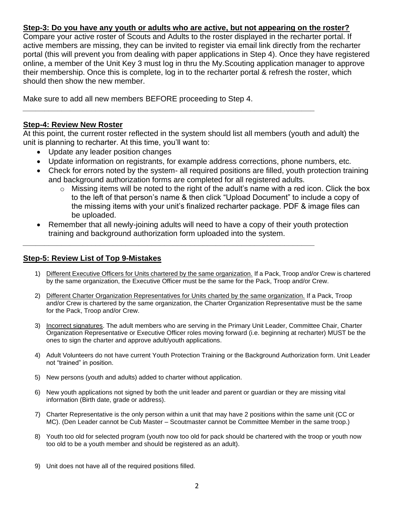### **Step-3: Do you have any youth or adults who are active, but not appearing on the roster?**

Compare your active roster of Scouts and Adults to the roster displayed in the recharter portal. If active members are missing, they can be invited to register via email link directly from the recharter portal (this will prevent you from dealing with paper applications in Step 4). Once they have registered online, a member of the Unit Key 3 must log in thru the My.Scouting application manager to approve their membership. Once this is complete, log in to the recharter portal & refresh the roster, which should then show the new member.

Make sure to add all new members BEFORE proceeding to Step 4.

#### **Step-4: Review New Roster**

At this point, the current roster reflected in the system should list all members (youth and adult) the unit is planning to recharter. At this time, you'll want to:

*\_\_\_\_\_\_\_\_\_\_\_\_\_\_\_\_\_\_\_\_\_\_\_\_\_\_\_\_\_\_\_\_\_\_\_\_\_\_\_\_\_\_\_\_\_\_\_\_\_\_\_\_\_\_\_\_\_\_\_\_\_\_\_\_\_\_\_\_*

*\_\_\_\_\_\_\_\_\_\_\_\_\_\_\_\_\_\_\_\_\_\_\_\_\_\_\_\_\_\_\_\_\_\_\_\_\_\_\_\_\_\_\_\_\_\_\_\_\_\_\_\_\_\_\_\_\_\_\_\_\_\_\_\_\_\_\_\_*

- Update any leader position changes
- Update information on registrants, for example address corrections, phone numbers, etc*.*
- Check for errors noted by the system- all required positions are filled, youth protection training and background authorization forms are completed for all registered adults.
	- $\circ$  Missing items will be noted to the right of the adult's name with a red icon. Click the box to the left of that person's name & then click "Upload Document" to include a copy of the missing items with your unit's finalized recharter package. PDF & image files can be uploaded.
- Remember that all newly-joining adults will need to have a copy of their youth protection training and background authorization form uploaded into the system.

#### **Step-5: Review List of Top 9-Mistakes**

- 1) Different Executive Officers for Units chartered by the same organization. If a Pack, Troop and/or Crew is chartered by the same organization, the Executive Officer must be the same for the Pack, Troop and/or Crew.
- 2) Different Charter Organization Representatives for Units charted by the same organization. If a Pack, Troop and/or Crew is chartered by the same organization, the Charter Organization Representative must be the same for the Pack, Troop and/or Crew.
- 3) Incorrect signatures. The adult members who are serving in the Primary Unit Leader, Committee Chair, Charter Organization Representative or Executive Officer roles moving forward (i.e. beginning at recharter) MUST be the ones to sign the charter and approve adult/youth applications.
- 4) Adult Volunteers do not have current Youth Protection Training or the Background Authorization form. Unit Leader not "trained" in position.
- 5) New persons (youth and adults) added to charter without application.
- 6) New youth applications not signed by both the unit leader and parent or guardian or they are missing vital information (Birth date, grade or address).
- 7) Charter Representative is the only person within a unit that may have 2 positions within the same unit (CC or MC). (Den Leader cannot be Cub Master – Scoutmaster cannot be Committee Member in the same troop.)
- 8) Youth too old for selected program (youth now too old for pack should be chartered with the troop or youth now too old to be a youth member and should be registered as an adult).
- 9) Unit does not have all of the required positions filled.